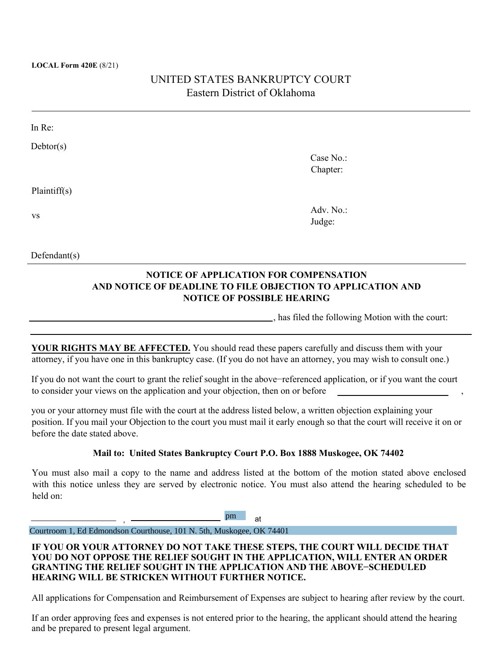#### **LOCAL Form 420E** (8/21)

Defendant(s)

# UNITED STATES BANKRUPTCY COURT Eastern District of Oklahoma

| In Re:       |           |  |
|--------------|-----------|--|
| Dektor(s)    |           |  |
|              | Case No.: |  |
|              | Chapter:  |  |
|              |           |  |
| Plaintiff(s) |           |  |
|              | Adv. No.: |  |
| <b>VS</b>    | Judge:    |  |
|              |           |  |
|              |           |  |

**NOTICE OF APPLICATION FOR COMPENSATION AND NOTICE OF DEADLINE TO FILE OBJECTION TO APPLICATION AND NOTICE OF POSSIBLE HEARING**

, has filed the following Motion with the court:

**YOUR RIGHTS MAY BE AFFECTED.** You should read these papers carefully and discuss them with your attorney, if you have one in this bankruptcy case. (If you do not have an attorney, you may wish to consult one.)

If you do not want the court to grant the relief sought in the above−referenced application, or if you want the court to consider your views on the application and your objection, then on or before

you or your attorney must file with the court at the address listed below, a written objection explaining your position. If you mail your Objection to the court you must mail it early enough so that the court will receive it on or before the date stated above.

#### **Mail to: United States Bankruptcy Court P.O. Box 1888 Muskogee, OK 74402**

You must also mail a copy to the name and address listed at the bottom of the motion stated above enclosed with this notice unless they are served by electronic notice. You must also attend the hearing scheduled to be held on:

> , at pm

Courtroom 1, Ed Edmondson Courthouse, 101 N. 5th, Muskogee, OK 74401

### **IF YOU OR YOUR ATTORNEY DO NOT TAKE THESE STEPS, THE COURT WILL DECIDE THAT YOU DO NOT OPPOSE THE RELIEF SOUGHT IN THE APPLICATION, WILL ENTER AN ORDER GRANTING THE RELIEF SOUGHT IN THE APPLICATION AND THE ABOVE−SCHEDULED HEARING WILL BE STRICKEN WITHOUT FURTHER NOTICE.**

All applications for Compensation and Reimbursement of Expenses are subject to hearing after review by the court.

If an order approving fees and expenses is not entered prior to the hearing, the applicant should attend the hearing and be prepared to present legal argument.